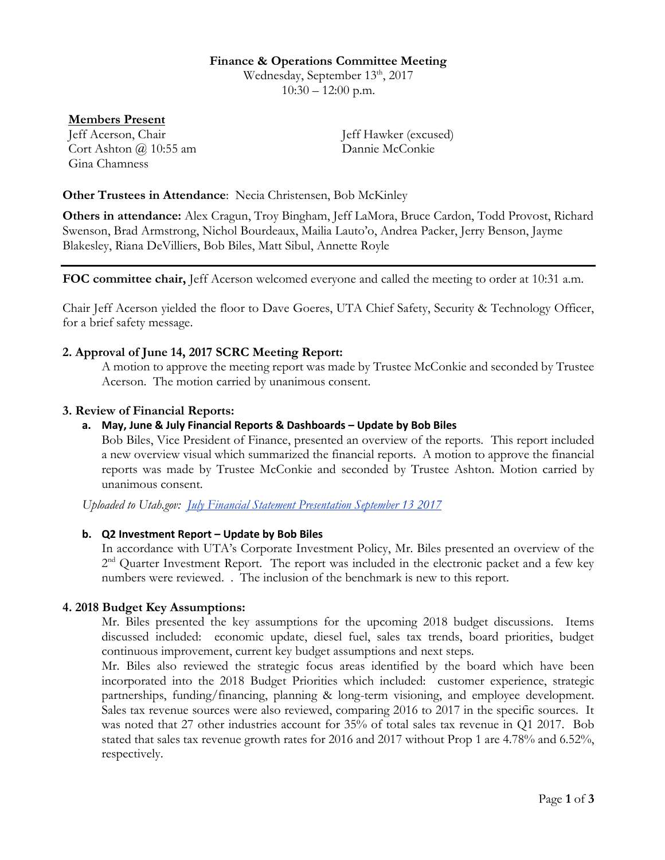#### **Finance & Operations Committee Meeting**

Wednesday, September 13<sup>th</sup>, 2017  $10:30 - 12:00$  p.m.

### **Members Present**

Jeff Acerson, Chair Jeff Hawker (excused) Cort Ashton @ 10:55 am Dannie McConkie Gina Chamness

### **Other Trustees in Attendance**: Necia Christensen, Bob McKinley

**Others in attendance:** Alex Cragun, Troy Bingham, Jeff LaMora, Bruce Cardon, Todd Provost, Richard Swenson, Brad Armstrong, Nichol Bourdeaux, Mailia Lauto'o, Andrea Packer, Jerry Benson, Jayme Blakesley, Riana DeVilliers, Bob Biles, Matt Sibul, Annette Royle

**FOC committee chair,** Jeff Acerson welcomed everyone and called the meeting to order at 10:31 a.m.

Chair Jeff Acerson yielded the floor to Dave Goeres, UTA Chief Safety, Security & Technology Officer, for a brief safety message.

# **2. Approval of June 14, 2017 SCRC Meeting Report:**

A motion to approve the meeting report was made by Trustee McConkie and seconded by Trustee Acerson. The motion carried by unanimous consent.

#### **3. Review of Financial Reports:**

### **a. May, June & July Financial Reports & Dashboards – Update by Bob Biles**

Bob Biles, Vice President of Finance, presented an overview of the reports. This report included a new overview visual which summarized the financial reports. A motion to approve the financial reports was made by Trustee McConkie and seconded by Trustee Ashton. Motion carried by unanimous consent.

*Uploaded to Utah.gov: July Financial Statement Presentation September 13 2017*

#### **b. Q2 Investment Report – Update by Bob Biles**

In accordance with UTA's Corporate Investment Policy, Mr. Biles presented an overview of the 2<sup>nd</sup> Quarter Investment Report. The report was included in the electronic packet and a few key numbers were reviewed. . The inclusion of the benchmark is new to this report.

#### **4. 2018 Budget Key Assumptions:**

Mr. Biles presented the key assumptions for the upcoming 2018 budget discussions. Items discussed included: economic update, diesel fuel, sales tax trends, board priorities, budget continuous improvement, current key budget assumptions and next steps.

Mr. Biles also reviewed the strategic focus areas identified by the board which have been incorporated into the 2018 Budget Priorities which included: customer experience, strategic partnerships, funding/financing, planning & long-term visioning, and employee development. Sales tax revenue sources were also reviewed, comparing 2016 to 2017 in the specific sources. It was noted that 27 other industries account for 35% of total sales tax revenue in Q1 2017. Bob stated that sales tax revenue growth rates for 2016 and 2017 without Prop 1 are 4.78% and 6.52%, respectively.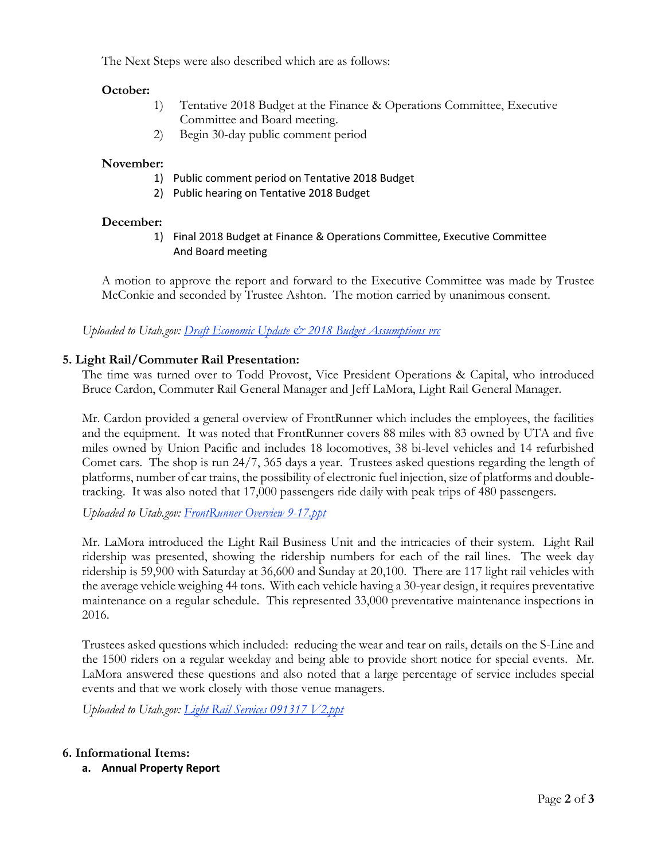The Next Steps were also described which are as follows:

# **October:**

- 1) Tentative 2018 Budget at the Finance & Operations Committee, Executive Committee and Board meeting.
- 2) Begin 30-day public comment period

# **November:**

- 1) Public comment period on Tentative 2018 Budget
- 2) Public hearing on Tentative 2018 Budget

# **December:**

1) Final 2018 Budget at Finance & Operations Committee, Executive Committee And Board meeting

A motion to approve the report and forward to the Executive Committee was made by Trustee McConkie and seconded by Trustee Ashton. The motion carried by unanimous consent.

*Uploaded to Utah.gov: Draft Economic Update & 2018 Budget Assumptions vrc*

# **5. Light Rail/Commuter Rail Presentation:**

The time was turned over to Todd Provost, Vice President Operations & Capital, who introduced Bruce Cardon, Commuter Rail General Manager and Jeff LaMora, Light Rail General Manager.

Mr. Cardon provided a general overview of FrontRunner which includes the employees, the facilities and the equipment. It was noted that FrontRunner covers 88 miles with 83 owned by UTA and five miles owned by Union Pacific and includes 18 locomotives, 38 bi-level vehicles and 14 refurbished Comet cars. The shop is run 24/7, 365 days a year. Trustees asked questions regarding the length of platforms, number of car trains, the possibility of electronic fuel injection, size of platforms and doubletracking. It was also noted that 17,000 passengers ride daily with peak trips of 480 passengers.

*Uploaded to Utah.gov: FrontRunner Overview 9-17.ppt*

Mr. LaMora introduced the Light Rail Business Unit and the intricacies of their system. Light Rail ridership was presented, showing the ridership numbers for each of the rail lines. The week day ridership is 59,900 with Saturday at 36,600 and Sunday at 20,100. There are 117 light rail vehicles with the average vehicle weighing 44 tons. With each vehicle having a 30-year design, it requires preventative maintenance on a regular schedule. This represented 33,000 preventative maintenance inspections in 2016.

Trustees asked questions which included: reducing the wear and tear on rails, details on the S-Line and the 1500 riders on a regular weekday and being able to provide short notice for special events. Mr. LaMora answered these questions and also noted that a large percentage of service includes special events and that we work closely with those venue managers.

*Uploaded to Utah.gov: Light Rail Services 091317 V2.ppt*

# **6. Informational Items:**

**a. Annual Property Report**